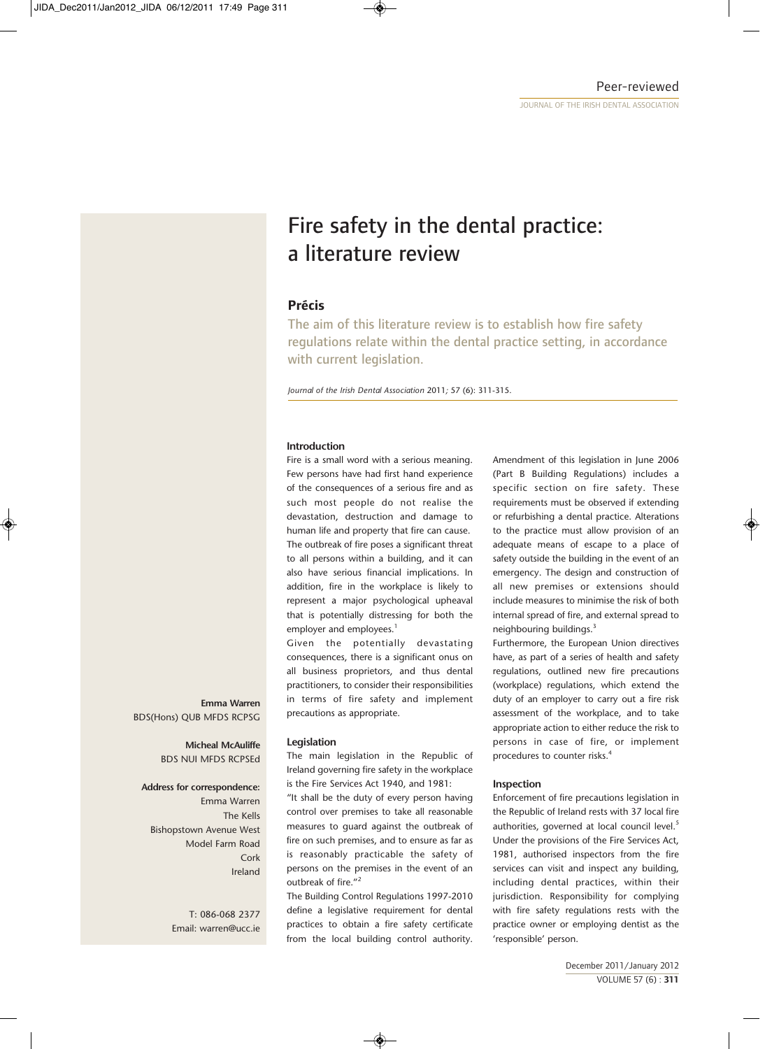# Fire safety in the dental practice: a literature review

# **Précis**

The aim of this literature review is to establish how fire safety regulations relate within the dental practice setting, in accordance with current legislation.

*Journal of the Irish Dental Association* 2011*;* 57 (6): 311-315.

## **Introduction**

Fire is a small word with a serious meaning. Few persons have had first hand experience of the consequences of a serious fire and as such most people do not realise the devastation, destruction and damage to human life and property that fire can cause. The outbreak of fire poses a significant threat to all persons within a building, and it can also have serious financial implications. In addition, fire in the workplace is likely to represent a major psychological upheaval that is potentially distressing for both the employer and employees.<sup>1</sup>

Given the potentially devastating consequences, there is a significant onus on all business proprietors, and thus dental practitioners, to consider their responsibilities in terms of fire safety and implement precautions as appropriate.

## **Legislation**

The main legislation in the Republic of Ireland governing fire safety in the workplace is the Fire Services Act 1940, and 1981:

"It shall be the duty of every person having control over premises to take all reasonable measures to guard against the outbreak of fire on such premises, and to ensure as far as is reasonably practicable the safety of persons on the premises in the event of an outbreak of fire."<sup>2</sup>

The Building Control Regulations 1997-2010 define a legislative requirement for dental practices to obtain a fire safety certificate from the local building control authority.

Amendment of this legislation in June 2006 (Part B Building Regulations) includes a specific section on fire safety. These requirements must be observed if extending or refurbishing a dental practice. Alterations to the practice must allow provision of an adequate means of escape to a place of safety outside the building in the event of an emergency. The design and construction of all new premises or extensions should include measures to minimise the risk of both internal spread of fire, and external spread to neighbouring buildings.<sup>3</sup>

Furthermore, the European Union directives have, as part of a series of health and safety regulations, outlined new fire precautions (workplace) regulations, which extend the duty of an employer to carry out a fire risk assessment of the workplace, and to take appropriate action to either reduce the risk to persons in case of fire, or implement procedures to counter risks.<sup>4</sup>

## **Inspection**

Enforcement of fire precautions legislation in the Republic of Ireland rests with 37 local fire authorities, governed at local council level.<sup>5</sup> Under the provisions of the Fire Services Act, 1981, authorised inspectors from the fire services can visit and inspect any building, including dental practices, within their jurisdiction. Responsibility for complying with fire safety regulations rests with the practice owner or employing dentist as the 'responsible' person.

# **Emma Warren** BDS(Hons) QUB MFDS RCPSG

**Micheal McAuliffe**  BDS NUI MFDS RCPSEd

#### **Address for correspondence:**

Emma Warren The Kells Bishopstown Avenue West Model Farm Road Cork Ireland

> T: 086-068 2377 Email: warren@ucc.ie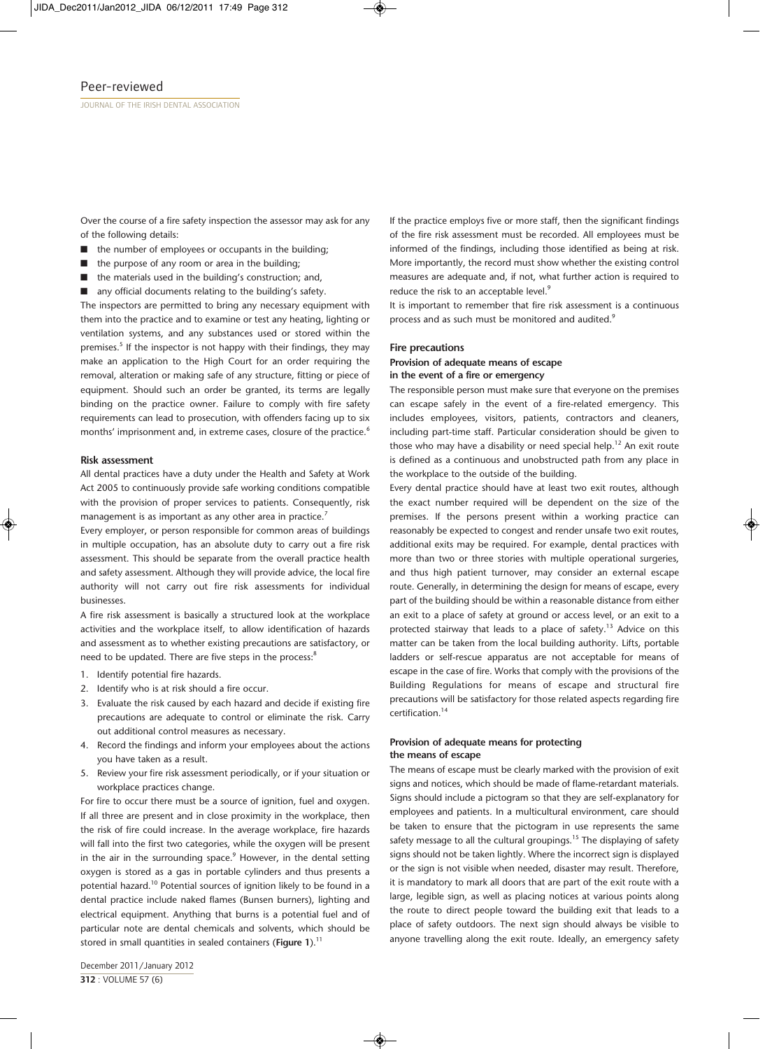Over the course of a fire safety inspection the assessor may ask for any of the following details:

- $\blacksquare$  the number of employees or occupants in the building;
- $\blacksquare$  the purpose of any room or area in the building;
- $\blacksquare$  the materials used in the building's construction; and,
- $\blacksquare$  any official documents relating to the building's safety.

The inspectors are permitted to bring any necessary equipment with them into the practice and to examine or test any heating, lighting or ventilation systems, and any substances used or stored within the premises.<sup>5</sup> If the inspector is not happy with their findings, they may make an application to the High Court for an order requiring the removal, alteration or making safe of any structure, fitting or piece of equipment. Should such an order be granted, its terms are legally binding on the practice owner. Failure to comply with fire safety requirements can lead to prosecution, with offenders facing up to six months' imprisonment and, in extreme cases, closure of the practice.<sup>6</sup>

#### **Risk assessment**

All dental practices have a duty under the Health and Safety at Work Act 2005 to continuously provide safe working conditions compatible with the provision of proper services to patients. Consequently, risk management is as important as any other area in practice.<sup>7</sup>

Every employer, or person responsible for common areas of buildings in multiple occupation, has an absolute duty to carry out a fire risk assessment. This should be separate from the overall practice health and safety assessment. Although they will provide advice, the local fire authority will not carry out fire risk assessments for individual businesses.

A fire risk assessment is basically a structured look at the workplace activities and the workplace itself, to allow identification of hazards and assessment as to whether existing precautions are satisfactory, or need to be updated. There are five steps in the process:<sup>8</sup>

- 1. Identify potential fire hazards.
- 2. Identify who is at risk should a fire occur.
- 3. Evaluate the risk caused by each hazard and decide if existing fire precautions are adequate to control or eliminate the risk. Carry out additional control measures as necessary.
- 4. Record the findings and inform your employees about the actions you have taken as a result.
- 5. Review your fire risk assessment periodically, or if your situation or workplace practices change.

For fire to occur there must be a source of ignition, fuel and oxygen. If all three are present and in close proximity in the workplace, then the risk of fire could increase. In the average workplace, fire hazards will fall into the first two categories, while the oxygen will be present in the air in the surrounding space. $9$  However, in the dental setting oxygen is stored as a gas in portable cylinders and thus presents a potential hazard.<sup>10</sup> Potential sources of ignition likely to be found in a dental practice include naked flames (Bunsen burners), lighting and electrical equipment. Anything that burns is a potential fuel and of particular note are dental chemicals and solvents, which should be stored in small quantities in sealed containers (Figure 1).<sup>11</sup>

If the practice employs five or more staff, then the significant findings of the fire risk assessment must be recorded. All employees must be informed of the findings, including those identified as being at risk. More importantly, the record must show whether the existing control measures are adequate and, if not, what further action is required to reduce the risk to an acceptable level.<sup>9</sup>

It is important to remember that fire risk assessment is a continuous process and as such must be monitored and audited.<sup>9</sup>

#### **Fire precautions**

#### **Provision of adequate means of escape in the event of a fire or emergency**

The responsible person must make sure that everyone on the premises can escape safely in the event of a fire-related emergency. This includes employees, visitors, patients, contractors and cleaners, including part-time staff. Particular consideration should be given to those who may have a disability or need special help.<sup>12</sup> An exit route is defined as a continuous and unobstructed path from any place in the workplace to the outside of the building.

Every dental practice should have at least two exit routes, although the exact number required will be dependent on the size of the premises. If the persons present within a working practice can reasonably be expected to congest and render unsafe two exit routes, additional exits may be required. For example, dental practices with more than two or three stories with multiple operational surgeries, and thus high patient turnover, may consider an external escape route. Generally, in determining the design for means of escape, every part of the building should be within a reasonable distance from either an exit to a place of safety at ground or access level, or an exit to a protected stairway that leads to a place of safety.<sup>13</sup> Advice on this matter can be taken from the local building authority. Lifts, portable ladders or self-rescue apparatus are not acceptable for means of escape in the case of fire. Works that comply with the provisions of the Building Regulations for means of escape and structural fire precautions will be satisfactory for those related aspects regarding fire certification.14

## **Provision of adequate means for protecting the means of escape**

The means of escape must be clearly marked with the provision of exit signs and notices, which should be made of flame-retardant materials. Signs should include a pictogram so that they are self-explanatory for employees and patients. In a multicultural environment, care should be taken to ensure that the pictogram in use represents the same safety message to all the cultural groupings.<sup>15</sup> The displaying of safety signs should not be taken lightly. Where the incorrect sign is displayed or the sign is not visible when needed, disaster may result. Therefore, it is mandatory to mark all doors that are part of the exit route with a large, legible sign, as well as placing notices at various points along the route to direct people toward the building exit that leads to a place of safety outdoors. The next sign should always be visible to anyone travelling along the exit route. Ideally, an emergency safety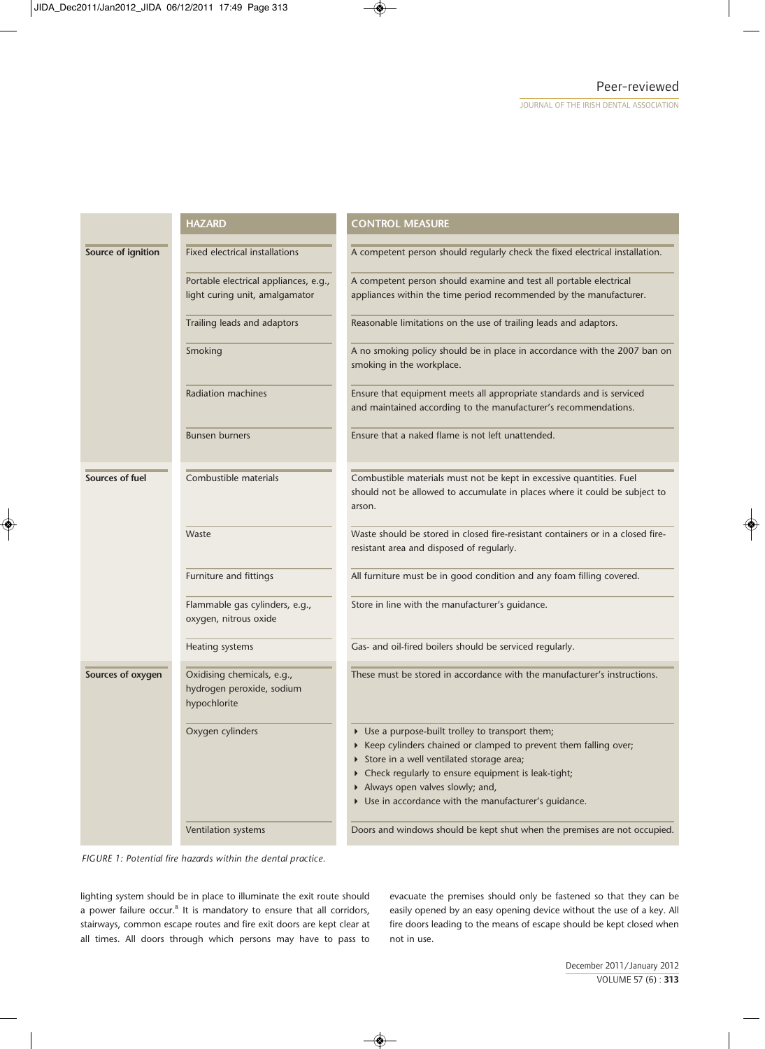|                    | <b>HAZARD</b>                                                           | <b>CONTROL MEASURE</b>                                                                                                                                                                                                                                                                                                |
|--------------------|-------------------------------------------------------------------------|-----------------------------------------------------------------------------------------------------------------------------------------------------------------------------------------------------------------------------------------------------------------------------------------------------------------------|
| Source of ignition | <b>Fixed electrical installations</b>                                   | A competent person should regularly check the fixed electrical installation.                                                                                                                                                                                                                                          |
|                    | Portable electrical appliances, e.g.,<br>light curing unit, amalgamator | A competent person should examine and test all portable electrical<br>appliances within the time period recommended by the manufacturer.                                                                                                                                                                              |
|                    | Trailing leads and adaptors                                             | Reasonable limitations on the use of trailing leads and adaptors.                                                                                                                                                                                                                                                     |
|                    | Smoking                                                                 | A no smoking policy should be in place in accordance with the 2007 ban on<br>smoking in the workplace.                                                                                                                                                                                                                |
|                    | <b>Radiation machines</b>                                               | Ensure that equipment meets all appropriate standards and is serviced<br>and maintained according to the manufacturer's recommendations.                                                                                                                                                                              |
|                    | <b>Bunsen burners</b>                                                   | Ensure that a naked flame is not left unattended.                                                                                                                                                                                                                                                                     |
| Sources of fuel    | Combustible materials                                                   | Combustible materials must not be kept in excessive quantities. Fuel<br>should not be allowed to accumulate in places where it could be subject to<br>arson.                                                                                                                                                          |
|                    | Waste                                                                   | Waste should be stored in closed fire-resistant containers or in a closed fire-<br>resistant area and disposed of regularly.                                                                                                                                                                                          |
|                    | Furniture and fittings                                                  | All furniture must be in good condition and any foam filling covered.                                                                                                                                                                                                                                                 |
|                    | Flammable gas cylinders, e.g.,<br>oxygen, nitrous oxide                 | Store in line with the manufacturer's guidance.                                                                                                                                                                                                                                                                       |
|                    | Heating systems                                                         | Gas- and oil-fired boilers should be serviced regularly.                                                                                                                                                                                                                                                              |
| Sources of oxygen  | Oxidising chemicals, e.g.,<br>hydrogen peroxide, sodium<br>hypochlorite | These must be stored in accordance with the manufacturer's instructions.                                                                                                                                                                                                                                              |
|                    | Oxygen cylinders                                                        | • Use a purpose-built trolley to transport them;<br>▶ Keep cylinders chained or clamped to prevent them falling over;<br>> Store in a well ventilated storage area;<br>Check regularly to ensure equipment is leak-tight;<br>Always open valves slowly; and,<br>• Use in accordance with the manufacturer's guidance. |
|                    | Ventilation systems                                                     | Doors and windows should be kept shut when the premises are not occupied.                                                                                                                                                                                                                                             |



lighting system should be in place to illuminate the exit route should a power failure occur.<sup>8</sup> It is mandatory to ensure that all corridors, stairways, common escape routes and fire exit doors are kept clear at all times. All doors through which persons may have to pass to evacuate the premises should only be fastened so that they can be easily opened by an easy opening device without the use of a key. All fire doors leading to the means of escape should be kept closed when not in use.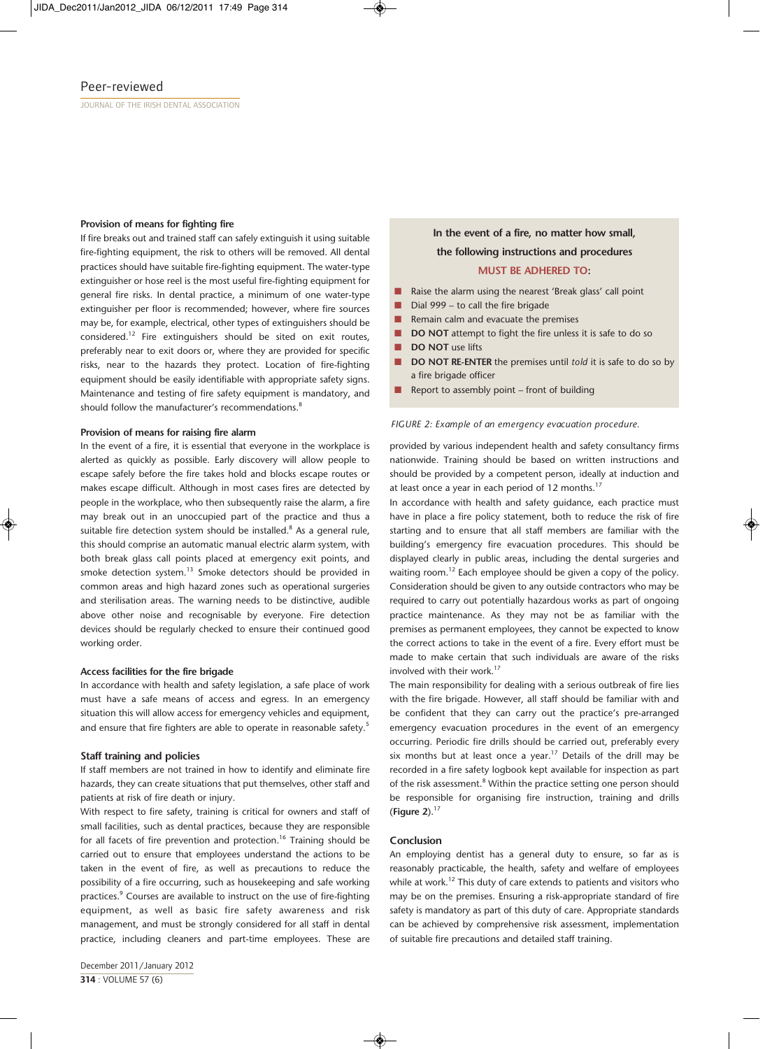#### **Provision of means for fighting fire**

If fire breaks out and trained staff can safely extinguish it using suitable fire-fighting equipment, the risk to others will be removed. All dental practices should have suitable fire-fighting equipment. The water-type extinguisher or hose reel is the most useful fire-fighting equipment for general fire risks. In dental practice, a minimum of one water-type extinguisher per floor is recommended; however, where fire sources may be, for example, electrical, other types of extinguishers should be considered.12 Fire extinguishers should be sited on exit routes, preferably near to exit doors or, where they are provided for specific risks, near to the hazards they protect. Location of fire-fighting equipment should be easily identifiable with appropriate safety signs. Maintenance and testing of fire safety equipment is mandatory, and should follow the manufacturer's recommendations.<sup>8</sup>

#### **Provision of means for raising fire alarm**

In the event of a fire, it is essential that everyone in the workplace is alerted as quickly as possible. Early discovery will allow people to escape safely before the fire takes hold and blocks escape routes or makes escape difficult. Although in most cases fires are detected by people in the workplace, who then subsequently raise the alarm, a fire may break out in an unoccupied part of the practice and thus a suitable fire detection system should be installed. $8$  As a general rule, this should comprise an automatic manual electric alarm system, with both break glass call points placed at emergency exit points, and smoke detection system.<sup>13</sup> Smoke detectors should be provided in common areas and high hazard zones such as operational surgeries and sterilisation areas. The warning needs to be distinctive, audible above other noise and recognisable by everyone. Fire detection devices should be regularly checked to ensure their continued good working order.

#### **Access facilities for the fire brigade**

In accordance with health and safety legislation, a safe place of work must have a safe means of access and egress. In an emergency situation this will allow access for emergency vehicles and equipment, and ensure that fire fighters are able to operate in reasonable safety.<sup>5</sup>

#### **Staff training and policies**

If staff members are not trained in how to identify and eliminate fire hazards, they can create situations that put themselves, other staff and patients at risk of fire death or injury.

With respect to fire safety, training is critical for owners and staff of small facilities, such as dental practices, because they are responsible for all facets of fire prevention and protection.<sup>16</sup> Training should be carried out to ensure that employees understand the actions to be taken in the event of fire, as well as precautions to reduce the possibility of a fire occurring, such as housekeeping and safe working practices.<sup>9</sup> Courses are available to instruct on the use of fire-fighting equipment, as well as basic fire safety awareness and risk management, and must be strongly considered for all staff in dental practice, including cleaners and part-time employees. These are

## December 2011/January 2012 **314** : VOLUME 57 (6)

# **In the event of a fire, no matter how small, the following instructions and procedures**

# **MUST BE ADHERED TO:**

- Raise the alarm using the nearest 'Break glass' call point
- Dial 999 to call the fire brigade
- Remain calm and evacuate the premises
- **n DO NOT** attempt to fight the fire unless it is safe to do so
- **n DO NOT** use lifts
- **n DO NOT RE-ENTER** the premises until *told* it is safe to do so by a fire brigade officer
- Report to assembly point front of building

#### *FIGURE 2: Example of an emergency evacuation procedure.*

provided by various independent health and safety consultancy firms nationwide. Training should be based on written instructions and should be provided by a competent person, ideally at induction and at least once a year in each period of 12 months.<sup>17</sup>

In accordance with health and safety guidance, each practice must have in place a fire policy statement, both to reduce the risk of fire starting and to ensure that all staff members are familiar with the building's emergency fire evacuation procedures. This should be displayed clearly in public areas, including the dental surgeries and waiting room.<sup>12</sup> Each employee should be given a copy of the policy. Consideration should be given to any outside contractors who may be required to carry out potentially hazardous works as part of ongoing practice maintenance. As they may not be as familiar with the premises as permanent employees, they cannot be expected to know the correct actions to take in the event of a fire. Every effort must be made to make certain that such individuals are aware of the risks involved with their work.<sup>17</sup>

The main responsibility for dealing with a serious outbreak of fire lies with the fire brigade. However, all staff should be familiar with and be confident that they can carry out the practice's pre-arranged emergency evacuation procedures in the event of an emergency occurring. Periodic fire drills should be carried out, preferably every six months but at least once a year.<sup>17</sup> Details of the drill may be recorded in a fire safety logbook kept available for inspection as part of the risk assessment.<sup>8</sup> Within the practice setting one person should be responsible for organising fire instruction, training and drills (**Figure 2**).<sup>17</sup>

#### **Conclusion**

An employing dentist has a general duty to ensure, so far as is reasonably practicable, the health, safety and welfare of employees while at work.<sup>12</sup> This duty of care extends to patients and visitors who may be on the premises. Ensuring a risk-appropriate standard of fire safety is mandatory as part of this duty of care. Appropriate standards can be achieved by comprehensive risk assessment, implementation of suitable fire precautions and detailed staff training.